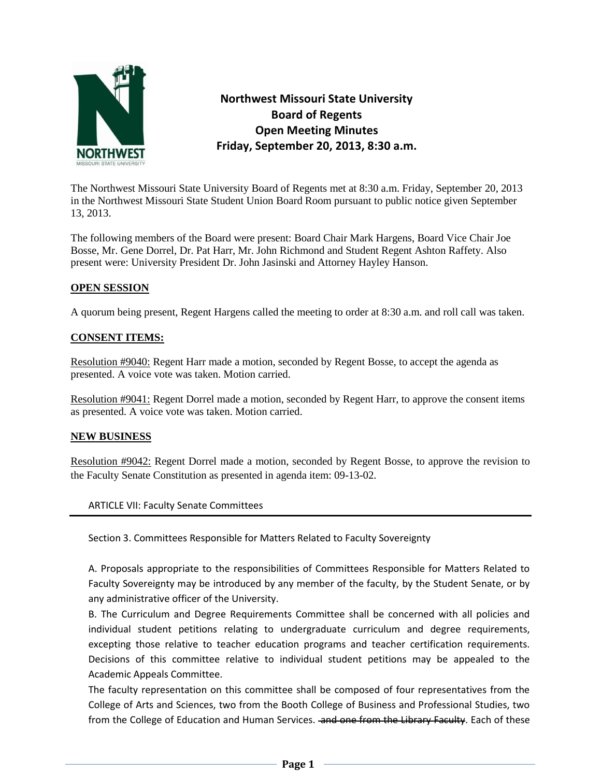

**Northwest Missouri State University Board of Regents Open Meeting Minutes Friday, September 20, 2013, 8:30 a.m.** 

The Northwest Missouri State University Board of Regents met at 8:30 a.m. Friday, September 20, 2013 in the Northwest Missouri State Student Union Board Room pursuant to public notice given September 13, 2013.

The following members of the Board were present: Board Chair Mark Hargens, Board Vice Chair Joe Bosse, Mr. Gene Dorrel, Dr. Pat Harr, Mr. John Richmond and Student Regent Ashton Raffety. Also present were: University President Dr. John Jasinski and Attorney Hayley Hanson.

# **OPEN SESSION**

A quorum being present, Regent Hargens called the meeting to order at 8:30 a.m. and roll call was taken.

# **CONSENT ITEMS:**

Resolution #9040: Regent Harr made a motion, seconded by Regent Bosse, to accept the agenda as presented. A voice vote was taken. Motion carried.

Resolution #9041: Regent Dorrel made a motion, seconded by Regent Harr, to approve the consent items as presented. A voice vote was taken. Motion carried.

### **NEW BUSINESS**

Resolution #9042: Regent Dorrel made a motion, seconded by Regent Bosse, to approve the revision to the Faculty Senate Constitution as presented in agenda item: 09-13-02.

ARTICLE VII: Faculty Senate Committees

Section 3. Committees Responsible for Matters Related to Faculty Sovereignty

A. Proposals appropriate to the responsibilities of Committees Responsible for Matters Related to Faculty Sovereignty may be introduced by any member of the faculty, by the Student Senate, or by any administrative officer of the University.

B. The Curriculum and Degree Requirements Committee shall be concerned with all policies and individual student petitions relating to undergraduate curriculum and degree requirements, excepting those relative to teacher education programs and teacher certification requirements. Decisions of this committee relative to individual student petitions may be appealed to the Academic Appeals Committee.

The faculty representation on this committee shall be composed of four representatives from the College of Arts and Sciences, two from the Booth College of Business and Professional Studies, two from the College of Education and Human Services. and one from the Library Faculty. Each of these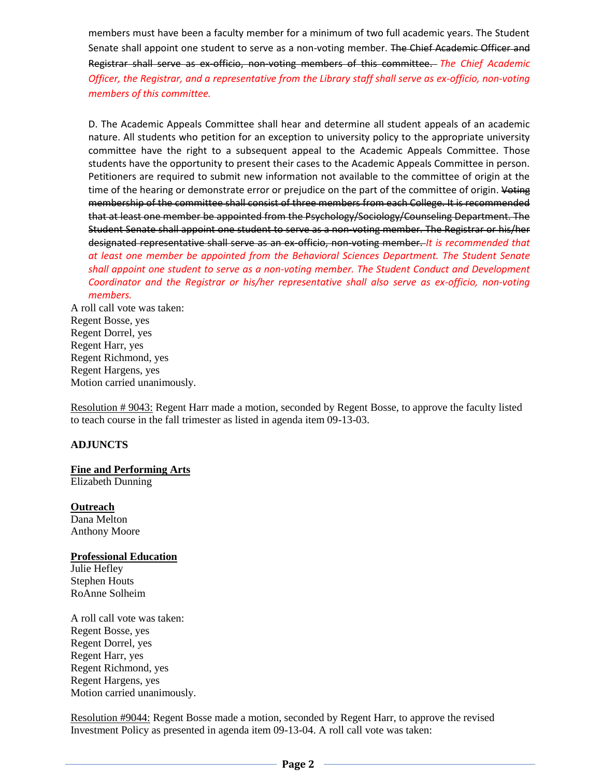members must have been a faculty member for a minimum of two full academic years. The Student Senate shall appoint one student to serve as a non-voting member. The Chief Academic Officer and Registrar shall serve as ex-officio, non-voting members of this committee. *The Chief Academic Officer, the Registrar, and a representative from the Library staff shall serve as ex-officio, non-voting members of this committee.*

D. The Academic Appeals Committee shall hear and determine all student appeals of an academic nature. All students who petition for an exception to university policy to the appropriate university committee have the right to a subsequent appeal to the Academic Appeals Committee. Those students have the opportunity to present their cases to the Academic Appeals Committee in person. Petitioners are required to submit new information not available to the committee of origin at the time of the hearing or demonstrate error or prejudice on the part of the committee of origin. Voting membership of the committee shall consist of three members from each College. It is recommended that at least one member be appointed from the Psychology/Sociology/Counseling Department. The Student Senate shall appoint one student to serve as a non-voting member. The Registrar or his/her designated representative shall serve as an ex-officio, non-voting member. *It is recommended that at least one member be appointed from the Behavioral Sciences Department. The Student Senate shall appoint one student to serve as a non-voting member. The Student Conduct and Development Coordinator and the Registrar or his/her representative shall also serve as ex-officio, non-voting members.*

A roll call vote was taken: Regent Bosse, yes Regent Dorrel, yes Regent Harr, yes Regent Richmond, yes Regent Hargens, yes Motion carried unanimously.

Resolution # 9043: Regent Harr made a motion, seconded by Regent Bosse, to approve the faculty listed to teach course in the fall trimester as listed in agenda item 09-13-03.

# **ADJUNCTS**

#### **Fine and Performing Arts**

Elizabeth Dunning

### **Outreach**

Dana Melton Anthony Moore

### **Professional Education**

Julie Hefley Stephen Houts RoAnne Solheim

A roll call vote was taken: Regent Bosse, yes Regent Dorrel, yes Regent Harr, yes Regent Richmond, yes Regent Hargens, yes Motion carried unanimously.

Resolution #9044: Regent Bosse made a motion, seconded by Regent Harr, to approve the revised Investment Policy as presented in agenda item 09-13-04. A roll call vote was taken: